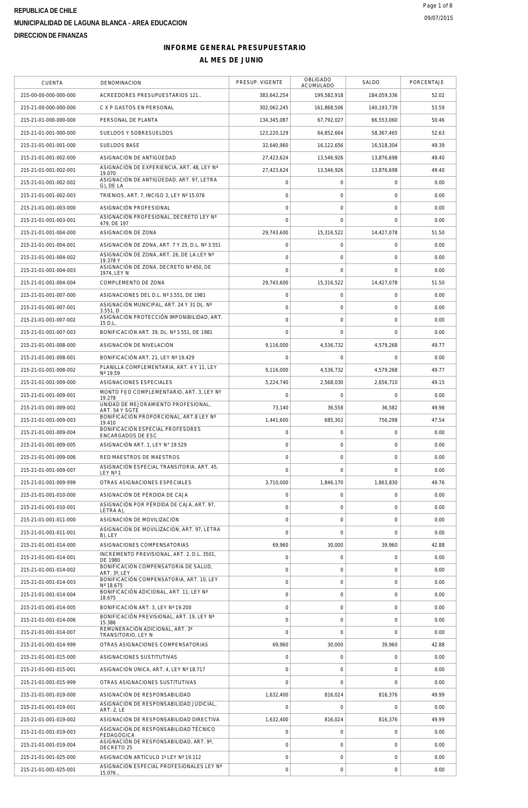# **INFORME GENERAL PRESUPUESTARIO**

| <b>CUENTA</b>         | <b>DENOMINACION</b>                                                             | PRESUP. VIGENTE     | OBLIGADO<br>ACUMULADO | SALDO               | PORCENTAJE |
|-----------------------|---------------------------------------------------------------------------------|---------------------|-----------------------|---------------------|------------|
| 215-00-00-000-000-000 | ACREEDORES PRESUPUESTARIOS 121                                                  | 383,642,254         | 199,582,918           | 184,059,336         | 52.02      |
| 215-21-00-000-000-000 | C X P GASTOS EN PERSONAL                                                        | 302,062,245         | 161,868,506           | 140, 193, 739       | 53.59      |
| 215-21-01-000-000-000 | PERSONAL DE PLANTA                                                              | 134.345.087         | 67,792,027            | 66,553,060          | 50.46      |
| 215-21-01-001-000-000 | SUELDOS Y SOBRESUELDOS                                                          | 123,220,129         | 64,852,664            | 58,367,465          | 52.63      |
| 215-21-01-001-001-000 | <b>SUELDOS BASE</b>                                                             | 32,640,960          | 16,122,656            | 16,518,304          | 49.39      |
| 215-21-01-001-002-000 | ASIGNACIÓN DE ANTIGÜEDAD                                                        | 27,423,624          | 13,546,926            | 13,876,698          | 49.40      |
| 215-21-01-001-002-001 | ASIGNACIÓN DE EXPERIENCIA, ART. 48, LEY Nº<br>19.070                            | 27,423,624          | 13,546,926            | 13,876,698          | 49.40      |
| 215-21-01-001-002-002 | ASIGNACIÓN DE ANTIGÜEDAD, ART. 97, LETRA<br>G), DE LA                           | $\mathbf 0$         | $\mathbf 0$           | $\mathbf 0$         | 0.00       |
| 215-21-01-001-002-003 | TRIENIOS, ART. 7, INCISO 3, LEY Nº 15.076                                       | $\mathbf 0$         | $\mathbf 0$           | $\mathbf 0$         | 0.00       |
| 215-21-01-001-003-000 | ASIGNACIÓN PROFESIONAL                                                          | $\mathbf 0$         | $\mathbf 0$           | $\mathbf 0$         | 0.00       |
| 215-21-01-001-003-001 | ASIGNACIÓN PROFESIONAL, DECRETO LEY Nº<br>479, DE 197                           | $\mathbf 0$         | $\mathbf 0$           | $\mathbf{O}$        | 0.00       |
| 215-21-01-001-004-000 | ASIGNACIÓN DE ZONA                                                              | 29,743,600          | 15,316,522            | 14,427,078          | 51.50      |
| 215-21-01-001-004-001 | ASIGNACIÓN DE ZONA, ART. 7 Y 25, D.L. Nº 3.551                                  | $\mathbf 0$         | $\mathbf 0$           | $\mathbf 0$         | 0.00       |
| 215-21-01-001-004-002 | ASIGNACIÓN DE ZONA, ART. 26, DE LA LEY Nº<br>19.378 Y                           | $\mathbf 0$         | $\mathbf 0$           | $\mathsf{O}\xspace$ | 0.00       |
| 215-21-01-001-004-003 | ASIGNACIÓN DE ZONA, DECRETO Nº 450, DE<br>1974, LEY N                           | $\mathbf 0$         | $\mathbf 0$           | $\mathbf 0$         | 0.00       |
| 215-21-01-001-004-004 | COMPLEMENTO DE ZONA                                                             | 29,743,600          | 15,316,522            | 14,427,078          | 51.50      |
| 215-21-01-001-007-000 | ASIGNACIONES DEL D.L. Nº 3.551, DE 1981                                         | $\mathsf{O}\xspace$ | $\mathsf{O}\xspace$   | $\mathbf 0$         | 0.00       |
| 215-21-01-001-007-001 | ASIGNACIÓN MUNICIPAL, ART. 24 Y 31 DL. Nº                                       | $\mathbf 0$         | $\mathbf 0$           | $\mathbf 0$         | 0.00       |
| 215-21-01-001-007-002 | 3.551, D<br>ASIGNACIÓN PROTECCIÓN IMPONIBILIDAD, ART.                           | $\mathbf 0$         | $\mathbf{0}$          | $\mathsf{O}\xspace$ | 0.00       |
| 215-21-01-001-007-003 | 15 D.L<br>BONIFICACIÓN ART. 39, DL. Nº 3.551, DE 1981                           | $\Omega$            | $\Omega$              | $\mathbf 0$         | 0.00       |
| 215-21-01-001-008-000 | ASIGNACIÓN DE NIVELACIÓN                                                        | 9,116,000           | 4,536,732             | 4,579,268           | 49.77      |
| 215-21-01-001-008-001 | BONIFICACIÓN ART. 21, LEY Nº 19.429                                             | 0                   | $\mathbf 0$           | $\mathbf 0$         | 0.00       |
| 215-21-01-001-008-002 | PLANILLA COMPLEMENTARIA, ART. 4 Y 11, LEY                                       | 9,116,000           | 4,536,732             | 4,579,268           | 49.77      |
| 215-21-01-001-009-000 | Nº 19.59<br>ASIGNACIONES ESPECIALES                                             | 5,224,740           | 2,568,030             | 2,656,710           | 49.15      |
| 215-21-01-001-009-001 | MONTO FIJO COMPLEMENTARIO, ART. 3, LEY Nº                                       | $\mathbf 0$         | $\mathbf 0$           | $\mathbf 0$         | 0.00       |
| 215-21-01-001-009-002 | 19.278<br>UNIDAD DE MEJORAMIENTO PROFESIONAL,                                   | 73,140              | 36,558                | 36,582              | 49.98      |
| 215-21-01-001-009-003 | ART. 54 Y SGTE<br>BONIFICACIÓN PROPORCIONAL, ART.8 LEY Nº                       | 1,441,600           | 685,302               | 756,298             | 47.54      |
| 215-21-01-001-009-004 | 19.410<br>BONIFICACIÓN ESPECIAL PROFESORES                                      | $\mathbf 0$         | $\mathsf{O}\xspace$   | $\mathbf 0$         | 0.00       |
| 215-21-01-001-009-005 | ENCARGADOS DE ESC<br>ASIGNACIÓN ART. 1, LEY Nº 19.529                           | $\mathsf{O}\xspace$ | $\mathbf 0$           | $\mathbf 0$         | 0.00       |
| 215-21-01-001-009-006 | RED MAESTROS DE MAESTROS                                                        | $\mathbf 0$         | $\mathbf 0$           | $\mathbf 0$         | 0.00       |
| 215-21-01-001-009-007 | ASIGNACIÓN ESPECIAL TRANSITORIA, ART. 45,                                       | $\mathbf 0$         | $\mathbf 0$           | $\mathbf 0$         | 0.00       |
| 215-21-01-001-009-999 | LEYN°1<br>OTRAS ASIGNACIONES ESPECIALES                                         | 3,710,000           | 1,846,170             | 1,863,830           | 49.76      |
| 215-21-01-001-010-000 | ASIGNACIÓN DE PÉRDIDA DE CAJA                                                   | 0                   | $\mathbf 0$           | $\mathbf 0$         | 0.00       |
| 215-21-01-001-010-001 | ASIGNACIÓN POR PÉRDIDA DE CAJA, ART. 97,                                        | $\mathsf{O}\xspace$ | $\mathbf 0$           | $\mathsf{O}\xspace$ | 0.00       |
| 215-21-01-001-011-000 | LETRA A)<br>ASIGNACIÓN DE MOVILIZACIÓN                                          | $\mathbf 0$         | $\mathbf 0$           | $\mathbf 0$         | 0.00       |
| 215-21-01-001-011-001 | ASIGNACIÓN DE MOVILIZACIÓN, ART. 97, LETRA                                      | $\mathbf 0$         | $\Omega$              | $\mathbf 0$         | 0.00       |
| 215-21-01-001-014-000 | B), LEY<br>ASIGNACIONES COMPENSATORIAS                                          | 69,960              | 30,000                | 39,960              | 42.88      |
|                       | INCREMENTO PREVISIONAL, ART. 2, D.L. 3501,                                      | $\mathbf 0$         | $\mathbf 0$           | $\mathbf 0$         | 0.00       |
| 215-21-01-001-014-001 | DE 1980<br>BONIFICACIÓN COMPENSATORIA DE SALUD,                                 | $\mathbf 0$         | $\mathbf 0$           | $\mathbf 0$         |            |
| 215-21-01-001-014-002 | ART. 3°, LEY<br>BONIFICACIÓN COMPENSATORIA, ART. 10, LEY                        |                     |                       |                     | 0.00       |
| 215-21-01-001-014-003 | Nº 18.675<br>BONIFICACIÓN ADICIONAL, ART. 11, LEY Nº                            | $\mathbf 0$         | $\mathbf 0$           | $\mathbf 0$         | 0.00       |
| 215-21-01-001-014-004 | 18.675                                                                          | 0                   | $\mathbf 0$           | $\mathsf{O}\xspace$ | 0.00       |
| 215-21-01-001-014-005 | BONIFICACIÓN ART. 3, LEY Nº 19.200<br>BONIFICACIÓN PREVISIONAL, ART. 19, LEY Nº | $\mathbf 0$         | $\mathbf 0$           | $\mathbf 0$         | 0.00       |
| 215-21-01-001-014-006 | 15.386<br>REMUNERACIÓN ADICIONAL, ART. 3°                                       | 0                   | $\mathbf 0$           | $\mathbf 0$         | 0.00       |
| 215-21-01-001-014-007 | TRANSITORIO, LEY N                                                              | $\mathbf 0$         | $\mathbf 0$           | $\mathbf 0$         | 0.00       |
| 215-21-01-001-014-999 | OTRAS ASIGNACIONES COMPENSATORIAS                                               | 69,960              | 30,000                | 39,960              | 42.88      |
| 215-21-01-001-015-000 | ASIGNACIONES SUSTITUTIVAS                                                       | $\mathbf 0$         | $\mathbf 0$           | $\mathbf 0$         | 0.00       |
| 215-21-01-001-015-001 | ASIGNACIÓN ÚNICA, ART. 4, LEY Nº 18.717                                         | 0                   | $\mathbf 0$           | $\mathbf 0$         | 0.00       |
| 215-21-01-001-015-999 | OTRAS ASIGNACIONES SUSTITUTIVAS                                                 | $\mathbf 0$         | $\Omega$              | $\mathbf 0$         | 0.00       |
| 215-21-01-001-019-000 | ASIGNACIÓN DE RESPONSABILIDAD<br>ASIGNACIÓN DE RESPONSABILIDAD JUDICIAL,        | 1,632,400           | 816,024               | 816,376             | 49.99      |
| 215-21-01-001-019-001 | <b>ART. 2, LE</b>                                                               | $\mathbf 0$         | $\mathbf 0$           | $\mathbf 0$         | 0.00       |
| 215-21-01-001-019-002 | ASIGNACIÓN DE RESPONSABILIDAD DIRECTIVA                                         | 1,632,400           | 816,024               | 816,376             | 49.99      |
| 215-21-01-001-019-003 | ASIGNACIÓN DE RESPONSABILIDAD TÉCNICO<br>PEDAGÓGICA                             | $\mathbf 0$         | $\mathbf 0$           | $\mathbf 0$         | 0.00       |
| 215-21-01-001-019-004 | ASIGNACIÓN DE RESPONSABILIDAD, ART. 9°,<br>DECRETO 25                           | $\mathbf 0$         | $\mathbf 0$           | $\mathbf{O}$        | 0.00       |
| 215-21-01-001-025-000 | ASIGNACIÓN ARTÍCULO 1º LEY Nº 19.112                                            | $\mathbf 0$         | $\mathbf 0$           | $\mathbf 0$         | 0.00       |
| 215-21-01-001-025-001 | ASIGNACIÓN ESPECIAL PROFESIONALES LEY Nº<br>15.076                              | 0                   | $\mathbf 0$           | $\mathbf 0$         | 0.00       |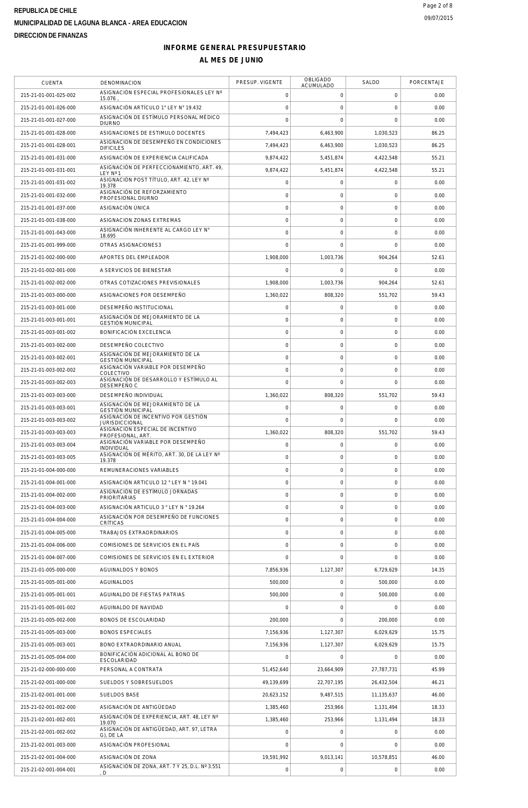# **INFORME GENERAL PRESUPUESTARIO**

| <b>CUENTA</b>         | DENOMINACION                                                      | PRESUP. VIGENTE | OBLIGADO<br><b>ACUMULADO</b> | SALDO               | PORCENTAJE |
|-----------------------|-------------------------------------------------------------------|-----------------|------------------------------|---------------------|------------|
| 215-21-01-001-025-002 | ASIGNACIÓN ESPECIAL PROFESIONALES LEY Nº<br>15.076                | 0               | $\mathbf 0$                  | 0                   | 0.00       |
| 215-21-01-001-026-000 | ASIGNACIÓN ARTÍCULO 1° LEY N° 19.432                              | 0               | $\mathbf 0$                  | $\mathsf{O}\xspace$ | 0.00       |
| 215-21-01-001-027-000 | ASIGNACIÓN DE ESTÍMULO PERSONAL MÉDICO<br><b>DIURNO</b>           | $\Omega$        | $\mathbf 0$                  | $\mathbf 0$         | 0.00       |
| 215-21-01-001-028-000 | ASIGNACIONES DE ESTIMULO DOCENTES                                 | 7,494,423       | 6,463,900                    | 1.030.523           | 86.25      |
| 215-21-01-001-028-001 | ASIGNACION DE DESEMPEÑO EN CONDICIONES                            | 7,494,423       | 6,463,900                    | 1,030,523           | 86.25      |
| 215-21-01-001-031-000 | <b>DIFICILES</b><br>ASIGNACIÓN DE EXPERIENCIA CALIFICADA          | 9,874,422       | 5,451,874                    | 4,422,548           | 55.21      |
| 215-21-01-001-031-001 | ASIGNACIÓN DE PERFECCIONAMIENTO. ART. 49.                         | 9.874.422       | 5,451,874                    | 4,422,548           | 55.21      |
| 215-21-01-001-031-002 | I FY Nº 1<br>ASIGNACIÓN POST TÍTULO, ART. 42, LEY Nº              | 0               | $\mathsf{O}\xspace$          | $\mathsf{O}\xspace$ | 0.00       |
| 215-21-01-001-032-000 | 19.378<br>ASIGNACIÓN DE REFORZAMIENTO                             | 0               | $\mathbf 0$                  | $\mathbf 0$         | 0.00       |
|                       | PROFESIONAL DIURNO                                                |                 |                              |                     |            |
| 215-21-01-001-037-000 | ASIGNACIÓN ÚNICA                                                  | 0               | $\mathbf 0$                  | $\mathsf{O}\xspace$ | 0.00       |
| 215-21-01-001-038-000 | ASIGNACION ZONAS EXTREMAS<br>ASIGNACIÓN INHERENTE AL CARGO LEY N° | 0               | $\mathbf 0$                  | $\mathsf{O}\xspace$ | 0.00       |
| 215-21-01-001-043-000 | 18.695                                                            | 0               | $\mathsf{O}\xspace$          | $\mathsf{O}\xspace$ | 0.00       |
| 215-21-01-001-999-000 | OTRAS ASIGNACIONES3                                               | 0               | $\mathbf 0$                  | $\mathbf 0$         | 0.00       |
| 215-21-01-002-000-000 | APORTES DEL EMPLEADOR                                             | 1,908,000       | 1,003,736                    | 904,264             | 52.61      |
| 215-21-01-002-001-000 | A SERVICIOS DE BIENESTAR                                          | O               | $\mathbf 0$                  | $\mathbf 0$         | 0.00       |
| 215-21-01-002-002-000 | OTRAS COTIZACIONES PREVISIONALES                                  | 1.908.000       | 1,003,736                    | 904,264             | 52.61      |
| 215-21-01-003-000-000 | ASIGNACIONES POR DESEMPEÑO                                        | 1,360,022       | 808,320                      | 551,702             | 59.43      |
| 215-21-01-003-001-000 | DESEMPEÑO INSTITUCIONAL                                           | 0               | $\mathbf 0$                  | 0                   | 0.00       |
| 215-21-01-003-001-001 | ASIGNACIÓN DE MEJORAMIENTO DE LA<br><b>GESTIÓN MUNICIPAL</b>      | 0               | $\mathbf 0$                  | $\mathsf{O}\xspace$ | 0.00       |
| 215-21-01-003-001-002 | BONIFICACIÓN EXCELENCIA                                           | 0               | $\mathbf 0$                  | $\mathsf{O}\xspace$ | 0.00       |
| 215-21-01-003-002-000 | DESEMPEÑO COLECTIVO                                               | 0               | $\mathbf 0$                  | $\mathbf 0$         | 0.00       |
| 215-21-01-003-002-001 | ASIGNACIÓN DE MEJORAMIENTO DE LA<br><b>GESTIÓN MUNICIPAL</b>      | 0               | $\mathbf 0$                  | $\mathbf 0$         | 0.00       |
| 215-21-01-003-002-002 | ASIGNACIÓN VARIABLE POR DESEMPEÑO<br>COLECTIVO                    | 0               | $\mathbf 0$                  | $\mathsf{O}\xspace$ | 0.00       |
| 215-21-01-003-002-003 | ASIGNACIÓN DE DESARROLLO Y ESTÍMULO AL<br>DESEMPEÑO C             | $\Omega$        | $\Omega$                     | $\mathbf 0$         | 0.00       |
| 215-21-01-003-003-000 | DESEMPEÑO INDIVIDUAL                                              | 1,360,022       | 808,320                      | 551,702             | 59.43      |
| 215-21-01-003-003-001 | ASIGNACIÓN DE MEJORAMIENTO DE LA<br><b>GESTIÓN MUNICIPAL</b>      | 0               | $\mathsf{O}\xspace$          | $\mathsf{O}\xspace$ | 0.00       |
| 215-21-01-003-003-002 | ASIGNACIÓN DE INCENTIVO POR GESTIÓN<br><b>JURISDICCIONAL</b>      | 0               | $\mathbf 0$                  | $\mathbf 0$         | 0.00       |
| 215-21-01-003-003-003 | ASIGNACIÓN ESPECIAL DE INCENTIVO                                  | 1,360,022       | 808,320                      | 551,702             | 59.43      |
| 215-21-01-003-003-004 | PROFESIONAL, ART.<br>ASIGNACIÓN VARIABLE POR DESEMPEÑO            | 0               | $\mathbf 0$                  | 0                   | 0.00       |
| 215-21-01-003-003-005 | <b>INDIVIDUAL</b><br>ASIGNACIÓN DE MÉRITO, ART. 30. DE LA LEY Nº  | 0               | $\mathbf 0$                  | $\mathbf 0$         | 0.00       |
| 215-21-01-004-000-000 | 19.378<br>REMUNERACIONES VARIABLES                                | 0               | $\mathsf{O}\xspace$          | $\mathsf{O}\xspace$ | 0.00       |
| 215-21-01-004-001-000 | ASIGNACIÓN ARTICULO 12 ° LEY N ° 19.041                           | 0               | $\mathbf 0$                  | $\mathbf 0$         | 0.00       |
| 215-21-01-004-002-000 | ASIGNACIÓN DE ESTÍMULO JORNADAS                                   | 0               | $\mathbf 0$                  | $\mathsf{O}\xspace$ | 0.00       |
| 215-21-01-004-003-000 | <b>PRIORITARIAS</b><br>ASIGNACIÓN ARTICULO 3 ° LEY N ° 19.264     | 0               | $\mathbf 0$                  | $\mathbf 0$         | 0.00       |
|                       | ASIGNACIÓN POR DESEMPEÑO DE FUNCIONES                             |                 |                              |                     |            |
| 215-21-01-004-004-000 | CRÍTICAS                                                          | 0               | $\mathsf{O}\xspace$          | $\mathsf{O}\xspace$ | 0.00       |
| 215-21-01-004-005-000 | TRABAJOS EXTRAORDINARIOS                                          | 0               | $\mathbf 0$                  | $\mathbf 0$         | 0.00       |
| 215-21-01-004-006-000 | COMISIONES DE SERVICIOS EN EL PAÍS                                | 0               | $\mathbf 0$                  | $\mathbf 0$         | 0.00       |
| 215-21-01-004-007-000 | COMISIONES DE SERVICIOS EN EL EXTERIOR                            | 0               | $\mathbf 0$                  | $\mathbf 0$         | 0.00       |
| 215-21-01-005-000-000 | AGUINALDOS Y BONOS                                                | 7,856,936       | 1,127,307                    | 6,729,629           | 14.35      |
| 215-21-01-005-001-000 | AGUINALDOS                                                        | 500,000         | $\mathbf 0$                  | 500,000             | 0.00       |
| 215-21-01-005-001-001 | AGUINALDO DE FIESTAS PATRIAS                                      | 500,000         | $\mathbf 0$                  | 500,000             | 0.00       |
| 215-21-01-005-001-002 | AGUINALDO DE NAVIDAD                                              | O               | $\mathbf 0$                  | $\mathbf 0$         | 0.00       |
| 215-21-01-005-002-000 | BONOS DE ESCOLARIDAD                                              | 200,000         | $\mathbf 0$                  | 200,000             | 0.00       |
| 215-21-01-005-003-000 | <b>BONOS ESPECIALES</b>                                           | 7,156,936       | 1,127,307                    | 6,029,629           | 15.75      |
| 215-21-01-005-003-001 | BONO EXTRAORDINARIO ANUAL                                         | 7,156,936       | 1,127,307                    | 6,029,629           | 15.75      |
| 215-21-01-005-004-000 | BONIFICACIÓN ADICIONAL AL BONO DE<br>ESCOLARIDAD                  |                 | $\Omega$                     | $\mathbf 0$         | 0.00       |
| 215-21-02-000-000-000 | PERSONAL A CONTRATA                                               | 51,452,640      | 23,664,909                   | 27,787,731          | 45.99      |
| 215-21-02-001-000-000 | SUELDOS Y SOBRESUELDOS                                            | 49,139,699      | 22,707,195                   | 26,432,504          | 46.21      |
| 215-21-02-001-001-000 | SUELDOS BASE                                                      | 20,623,152      | 9,487,515                    | 11,135,637          | 46.00      |
| 215-21-02-001-002-000 | ASIGNACIÓN DE ANTIGÜEDAD                                          | 1,385,460       | 253,966                      | 1,131,494           | 18.33      |
| 215-21-02-001-002-001 | ASIGNACIÓN DE EXPERIENCIA, ART. 48, LEY Nº<br>19.070              | 1,385,460       | 253,966                      | 1,131,494           | 18.33      |
| 215-21-02-001-002-002 | ASIGNACIÓN DE ANTIGÜEDAD, ART. 97, LETRA<br>G), DE LA             | 0               | $\mathbf 0$                  | 0                   | 0.00       |
| 215-21-02-001-003-000 | ASIGNACIÓN PROFESIONAL                                            | $\Omega$        | $\mathbf 0$                  | $\mathbf 0$         | 0.00       |
| 215-21-02-001-004-000 | ASIGNACIÓN DE ZONA                                                | 19,591,992      | 9,013,141                    | 10,578,851          | 46.00      |
| 215-21-02-001-004-001 | ASIGNACIÓN DE ZONA, ART. 7 Y 25, D.L. Nº 3.551<br>D               | 0               | $\mathsf{O}\xspace$          | $\mathbf 0$         | 0.00       |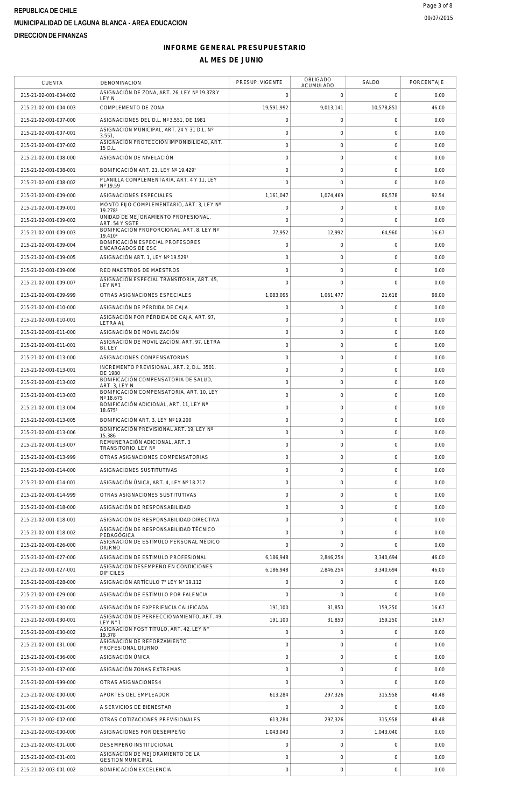#### **INFORME GENERAL PRESUPUESTARIO AL MES DE JUNIO**

| <b>CUENTA</b>         | DENOMINACION                                                              | PRESUP. VIGENTE     | OBLIGADO<br>ACUMULADO | SALDO               | PORCENTAJE |
|-----------------------|---------------------------------------------------------------------------|---------------------|-----------------------|---------------------|------------|
| 215-21-02-001-004-002 | ASIGNACIÓN DE ZONA, ART. 26. LEY Nº 19.378 Y<br>LEY N                     | $\mathbf 0$         | 0                     | $\mathbf 0$         | 0.00       |
| 215-21-02-001-004-003 | COMPLEMENTO DE ZONA                                                       | 19,591,992          | 9,013,141             | 10.578.851          | 46.00      |
| 215-21-02-001-007-000 | ASIGNACIONES DEL D.L. Nº 3.551, DE 1981                                   | $\mathbf 0$         | 0                     | $\mathsf{O}\xspace$ | 0.00       |
| 215-21-02-001-007-001 | ASIGNACIÓN MUNICIPAL, ART. 24 Y 31 D.L. Nº<br>3.551                       | $\mathbf 0$         | $\mathbf 0$           | $\mathbf 0$         | 0.00       |
| 215-21-02-001-007-002 | ASIGNACIÓN PROTECCIÓN IMPONIBILIDAD, ART.<br>15 D.L.                      | $\overline{0}$      | $\mathbf 0$           | $\mathsf{O}\xspace$ | 0.00       |
| 215-21-02-001-008-000 | ASIGNACIÓN DE NIVELACIÓN                                                  | $\mathbf 0$         | $\mathbf 0$           | $\mathsf{O}\xspace$ | 0.00       |
| 215-21-02-001-008-001 | BONIFICACIÓN ART. 21, LEY Nº 19.4291                                      | $\mathsf{O}\xspace$ | $\mathbf 0$           | $\mathsf{O}\xspace$ | 0.00       |
| 215-21-02-001-008-002 | PLANILLA COMPLEMENTARIA, ART. 4 Y 11, LEY<br>Nº 19.59                     | $\mathbf 0$         | $\mathbf 0$           | $\mathsf{O}\xspace$ | 0.00       |
| 215-21-02-001-009-000 | ASIGNACIONES ESPECIALES                                                   | 1,161,047           | 1,074,469             | 86,578              | 92.54      |
| 215-21-02-001-009-001 | MONTO FIJO COMPLEMENTARIO, ART. 3, LEY Nº                                 | $\mathbf 0$         | 0                     | $\mathbf 0$         | 0.00       |
| 215-21-02-001-009-002 | 19.2781<br>UNIDAD DE MEJORAMIENTO PROFESIONAL                             | $\mathbf 0$         | $\mathbf 0$           | $\mathbf 0$         | 0.00       |
| 215-21-02-001-009-003 | ART. 54 Y SGTE<br>BONIFICACIÓN PROPORCIONAL, ART. 8, LEY Nº               | 77,952              | 12,992                | 64,960              | 16.67      |
| 215-21-02-001-009-004 | 19.4101<br>BONIFICACIÓN ESPECIAL PROFESORES                               | $\mathsf{O}\xspace$ | 0                     | $\mathsf{O}\xspace$ | 0.00       |
| 215-21-02-001-009-005 | ENCARGADOS DE ESC<br>ASIGNACIÓN ART. 1, LEY Nº 19.5291                    | $\mathbf 0$         | $\mathbf 0$           | $\mathbf 0$         | 0.00       |
| 215-21-02-001-009-006 | RED MAESTROS DE MAESTROS                                                  | $\mathbf 0$         | $\mathbf 0$           | $\mathsf{O}\xspace$ | 0.00       |
| 215-21-02-001-009-007 | ASIGNACIÓN ESPECIAL TRANSITORIA, ART. 45,                                 | $\mathbf 0$         | $\mathbf 0$           | $\mathbf 0$         | 0.00       |
| 215-21-02-001-009-999 | LEY Nº 1<br>OTRAS ASIGNACIONES ESPECIALES                                 | 1.083.095           | 1,061,477             | 21,618              | 98.00      |
| 215-21-02-001-010-000 |                                                                           |                     | $\mathbf 0$           |                     | 0.00       |
|                       | ASIGNACIÓN DE PÉRDIDA DE CAJA<br>ASIGNACIÓN POR PÉRDIDA DE CAJA, ART. 97, | $\mathsf{O}\xspace$ |                       | $\mathsf{O}\xspace$ |            |
| 215-21-02-001-010-001 | <b>LETRA A)</b>                                                           | $\mathbf 0$         | $\mathbf 0$           | $\mathbf 0$         | 0.00       |
| 215-21-02-001-011-000 | ASIGNACIÓN DE MOVILIZACIÓN<br>ASIGNACIÓN DE MOVILIZACIÓN, ART. 97, LETRA  | $\mathbf 0$         | $\mathbf 0$           | $\mathsf{O}\xspace$ | 0.00       |
| 215-21-02-001-011-001 | B), LEY                                                                   | $\mathsf{O}\xspace$ | 0                     | $\mathsf{O}\xspace$ | 0.00       |
| 215-21-02-001-013-000 | ASIGNACIONES COMPENSATORIAS<br>INCREMENTO PREVISIONAL, ART. 2, D.L. 3501, | $\mathbf 0$         | $\mathbf 0$           | $\mathsf{O}\xspace$ | 0.00       |
| 215-21-02-001-013-001 | DE 1980<br>BONIFICACIÓN COMPENSATORIA DE SALUD,                           | $\mathsf{O}\xspace$ | $\mathbf 0$           | $\mathsf{O}\xspace$ | 0.00       |
| 215-21-02-001-013-002 | ART. 3, LEY N                                                             | $\mathsf{O}\xspace$ | 0                     | $\mathsf{O}\xspace$ | 0.00       |
| 215-21-02-001-013-003 | BONIFICACIÓN COMPENSATORIA, ART. 10, LEY<br>Nº 18.675                     | $\mathbf 0$         | $\mathbf 0$           | $\mathsf{O}\xspace$ | 0.00       |
| 215-21-02-001-013-004 | BONIFICACIÓN ADICIONAL, ART. 11, LEY Nº<br>18.6751                        | $\mathsf{O}\xspace$ | 0                     | $\mathbf 0$         | 0.00       |
| 215-21-02-001-013-005 | BONIFICACIÓN ART. 3, LEY Nº 19.200                                        | $\overline{0}$      | $\mathbf 0$           | $\mathsf{O}\xspace$ | 0.00       |
| 215-21-02-001-013-006 | BONIFICACIÓN PREVISIONAL ART. 19, LEY Nº<br>15.386                        | $\mathsf{O}\xspace$ | $\mathbf 0$           | $\mathsf{O}\xspace$ | 0.00       |
| 215-21-02-001-013-007 | REMUNERACIÓN ADICIONAL, ART. 3<br>TRANSITORIO, LEY Nº                     | $\mathbf 0$         | $\mathbf 0$           | $\mathsf{O}\xspace$ | 0.00       |
| 215-21-02-001-013-999 | OTRAS ASIGNACIONES COMPENSATORIAS                                         | $\mathbf 0$         | $\mathbf 0$           | $\mathbf 0$         | 0.00       |
| 215-21-02-001-014-000 | ASIGNACIONES SUSTITUTIVAS                                                 | $\mathbf 0$         | 0                     | $\mathsf{O}\xspace$ | 0.00       |
| 215-21-02-001-014-001 | ASIGNACIÓN ÚNICA, ART. 4. LEY Nº 18.717                                   | $\mathbf 0$         | $\mathbf 0$           | $\mathbf 0$         | 0.00       |
| 215-21-02-001-014-999 | OTRAS ASIGNACIONES SUSTITUTIVAS                                           | $\mathbf 0$         | $\mathbf 0$           | $\mathbf 0$         | 0.00       |
| 215-21-02-001-018-000 | ASIGNACIÓN DE RESPONSABILIDAD                                             | $\mathsf{O}\xspace$ | $\mathbf 0$           | $\mathbf 0$         | 0.00       |
| 215-21-02-001-018-001 | ASIGNACIÓN DE RESPONSABILIDAD DIRECTIVA                                   | $\mathsf{O}\xspace$ | 0                     | $\mathsf{O}\xspace$ | 0.00       |
| 215-21-02-001-018-002 | ASIGNACIÓN DE RESPONSABILIDAD TÉCNICO<br>PEDAGÓGICA                       | $\mathbf 0$         | $\mathbf 0$           | $\mathsf{O}\xspace$ | 0.00       |
| 215-21-02-001-026-000 | ASIGNACIÓN DE ESTÍMULO PERSONAL MÉDICO<br><b>DIURNO</b>                   | $\Omega$            | $\mathbf 0$           | $\mathbf 0$         | 0.00       |
| 215-21-02-001-027-000 | ASIGNACION DE ESTIMULO PROFESIONAL                                        | 6,186,948           | 2,846,254             | 3,340,694           | 46.00      |
| 215-21-02-001-027-001 | ASIGNACION DESEMPEÑO EN CONDICIONES<br><b>DIFICILES</b>                   | 6,186,948           | 2,846,254             | 3.340.694           | 46.00      |
| 215-21-02-001-028-000 | ASIGNACIÓN ARTÍCULO 7° LEY N° 19.112                                      | $\mathbf 0$         | $\mathbf 0$           | $\mathsf{O}\xspace$ | 0.00       |
| 215-21-02-001-029-000 | ASIGNACIÓN DE ESTÍMULO POR FALENCIA                                       | $\Omega$            | $\Omega$              | $\Omega$            | 0.00       |
| 215-21-02-001-030-000 | ASIGNACIÓN DE EXPERIENCIA CALIFICADA                                      | 191,100             | 31,850                | 159,250             | 16.67      |
| 215-21-02-001-030-001 | ASIGNACIÓN DE PERFECCIONAMIENTO, ART. 49,<br>LEY N° 1                     | 191,100             | 31,850                | 159,250             | 16.67      |
| 215-21-02-001-030-002 | ASIGNACIÓN POST TÍTULO, ART. 42, LEY N°<br>19.378                         | $\mathbf 0$         | 0                     | $\mathsf{O}\xspace$ | 0.00       |
| 215-21-02-001-031-000 | ASIGNACIÓN DE REFORZAMIENTO                                               | $\mathbf 0$         | $\mathbf 0$           | $\mathbf 0$         | 0.00       |
| 215-21-02-001-036-000 | PROFESIONAL DIURNO<br>ASIGNACIÓN ÚNICA                                    | $\mathsf{O}\xspace$ | $\mathbf 0$           | $\mathsf 0$         | 0.00       |
| 215-21-02-001-037-000 | ASIGNACIÓN ZONAS EXTREMAS                                                 | $\mathbf 0$         | $\mathbf 0$           | $\mathbf 0$         | 0.00       |
| 215-21-02-001-999-000 | OTRAS ASIGNACIONES4                                                       | $\overline{0}$      | $\mathbf 0$           | $\mathbf 0$         | 0.00       |
| 215-21-02-002-000-000 | APORTES DEL EMPLEADOR                                                     | 613,284             | 297,326               | 315,958             | 48.48      |
| 215-21-02-002-001-000 | A SERVICIOS DE BIENESTAR                                                  | $\mathbf 0$         | $\mathbf 0$           | $\mathbf 0$         | 0.00       |
|                       |                                                                           | 613,284             |                       | 315,958             |            |
| 215-21-02-002-002-000 | OTRAS COTIZACIONES PREVISIONALES                                          |                     | 297,326               |                     | 48.48      |
| 215-21-02-003-000-000 | ASIGNACIONES POR DESEMPEÑO                                                | 1,043,040           | $\mathbf 0$           | 1,043,040           | 0.00       |
| 215-21-02-003-001-000 | DESEMPEÑO INSTITUCIONAL<br>ASIGNACIÓN DE MEJORAMIENTO DE LA               | $\mathsf{O}\xspace$ | $\mathbf 0$           | $\mathbf 0$         | 0.00       |
| 215-21-02-003-001-001 | <b>GESTIÓN MUNICIPAL</b>                                                  | $\mathbf 0$         | $\mathbf 0$           | $\mathsf{O}\xspace$ | 0.00       |
| 215-21-02-003-001-002 | <b>BONIFICACIÓN EXCELENCIA</b>                                            | $\mathsf{O}\xspace$ | 0                     | $\mathsf{O}\xspace$ | 0.00       |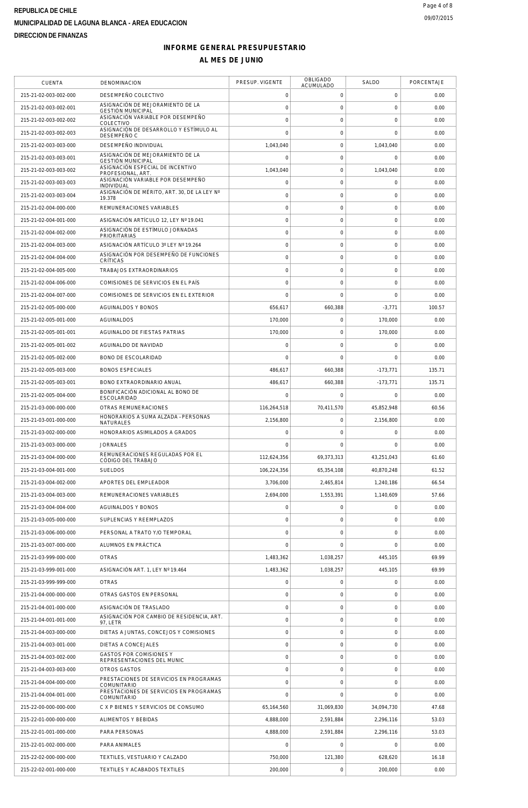#### **INFORME GENERAL PRESUPUESTARIO AL MES DE JUNIO**

| CUENTA                | DENOMINACION                                                 | PRESUP. VIGENTE | <b>OBLIGADO</b><br><b>ACUMULADO</b> | SALDO        | PORCENTAJE |
|-----------------------|--------------------------------------------------------------|-----------------|-------------------------------------|--------------|------------|
| 215-21-02-003-002-000 | DESEMPEÑO COLECTIVO                                          | $\mathbf 0$     | 0                                   | $\mathbf 0$  | 0.00       |
| 215-21-02-003-002-001 | ASIGNACIÓN DE MEJORAMIENTO DE LA<br><b>GESTIÓN MUNICIPAL</b> | 0               | 0                                   | $\mathbf 0$  | 0.00       |
| 215-21-02-003-002-002 | ASIGNACIÓN VARIABLE POR DESEMPEÑO<br>COLECTIVO               | 0               | 0                                   | $\mathbf 0$  | 0.00       |
| 215-21-02-003-002-003 | ASIGNACIÓN DE DESARROLLO Y ESTÍMULO AL<br>DESEMPEÑO C        | 0               | $\mathbf 0$                         | $\mathbf{0}$ | 0.00       |
| 215-21-02-003-003-000 | DESEMPEÑO INDIVIDUAL                                         | 1,043,040       | $\mathsf{O}\xspace$                 | 1,043,040    | 0.00       |
| 215-21-02-003-003-001 | ASIGNACIÓN DE MEJORAMIENTO DE LA<br><b>GESTIÓN MUNICIPAL</b> | $\mathbf 0$     | 0                                   | $\mathbf 0$  | 0.00       |
| 215-21-02-003-003-002 | ASIGNACIÓN ESPECIAL DE INCENTIVO<br>PROFESIONAL, ART.        | 1,043,040       | $\mathsf{O}\xspace$                 | 1,043,040    | 0.00       |
| 215-21-02-003-003-003 | ASIGNACIÓN VARIABLE POR DESEMPEÑO<br><b>INDIVIDUAL</b>       | $\circ$         | 0                                   | $\circ$      | 0.00       |
| 215-21-02-003-003-004 | ASIGNACIÓN DE MÉRITO, ART. 30, DE LA LEY Nº<br>19.378        | $\overline{0}$  | $\mathbf 0$                         | $\mathbf{0}$ | 0.00       |
| 215-21-02-004-000-000 | REMUNERACIONES VARIABLES                                     | $\mathsf{O}$    | $\mathsf{O}\xspace$                 | $\mathbf 0$  | 0.00       |
| 215-21-02-004-001-000 | ASIGNACIÓN ARTÍCULO 12, LEY Nº 19.041                        | 0               | 0                                   | $\circ$      | 0.00       |
| 215-21-02-004-002-000 | ASIGNACIÓN DE ESTÍMULO JORNADAS<br><b>PRIORITARIAS</b>       | 0               | $\mathsf{O}\xspace$                 | $\mathbf 0$  | 0.00       |
| 215-21-02-004-003-000 | ASIGNACIÓN ARTÍCULO 3º LEY Nº 19.264                         | $\circ$         | 0                                   | $\circ$      | 0.00       |
| 215-21-02-004-004-000 | ASIGNACIÓN POR DESEMPEÑO DE FUNCIONES<br>CRÍTICAS            | 0               | $\mathbf 0$                         | $\mathbf 0$  | 0.00       |
| 215-21-02-004-005-000 | TRABAJOS EXTRAORDINARIOS                                     | $\circ$         | $\mathsf{O}\xspace$                 | $\mathbf 0$  | 0.00       |
| 215-21-02-004-006-000 | COMISIONES DE SERVICIOS EN EL PAÍS                           | 0               | $\mathbf 0$                         | $\mathbf 0$  | 0.00       |
| 215-21-02-004-007-000 | COMISIONES DE SERVICIOS EN EL EXTERIOR                       | $\mathbf 0$     | $\mathbf 0$                         | $\circ$      | 0.00       |
| 215-21-02-005-000-000 | <b>AGUINALDOS Y BONOS</b>                                    | 656,617         | 660,388                             | $-3,771$     | 100.57     |
| 215-21-02-005-001-000 | <b>AGUINALDOS</b>                                            | 170,000         | 0                                   | 170,000      | 0.00       |
| 215-21-02-005-001-001 | AGUINALDO DE FIESTAS PATRIAS                                 | 170,000         | $\mathbf 0$                         | 170,000      | 0.00       |
| 215-21-02-005-001-002 | AGUINALDO DE NAVIDAD                                         | 0               | $\mathsf{O}\xspace$                 | $\circ$      | 0.00       |
| 215-21-02-005-002-000 | BONO DE ESCOLARIDAD                                          | $\mathbf 0$     | $\mathbf 0$                         | $\mathbf 0$  | 0.00       |
| 215-21-02-005-003-000 | <b>BONOS ESPECIALES</b>                                      | 486,617         | 660,388                             | $-173,771$   | 135.71     |
| 215-21-02-005-003-001 | BONO EXTRAORDINARIO ANUAL                                    | 486,617         | 660,388                             | $-173,771$   | 135.71     |
| 215-21-02-005-004-000 | BONIFICACIÓN ADICIONAL AL BONO DE<br>ESCOLARIDAD             | $\mathbf 0$     | 0                                   | $\mathbf 0$  | 0.00       |
| 215-21-03-000-000-000 | OTRAS REMUNERACIONES                                         | 116,264,518     | 70,411,570                          | 45,852,948   | 60.56      |
| 215-21-03-001-000-000 | HONORARIOS A SUMA ALZADA - PERSONAS<br><b>NATURALES</b>      | 2,156,800       | $\mathbf 0$                         | 2,156,800    | 0.00       |
| 215-21-03-002-000-000 | HONORARIOS ASIMILADOS A GRADOS                               | 0               | 0                                   | $\circ$      | 0.00       |
| 215-21-03-003-000-000 | <b>JORNALES</b>                                              | $\Omega$        | $\Omega$                            | $\mathbf 0$  | 0.00       |
| 215-21-03-004-000-000 | REMUNERACIONES REGULADAS POR EL<br>CÓDIGO DEL TRABAJO        | 112,624,356     | 69.373.313                          | 43,251,043   | 61.60      |
| 215-21-03-004-001-000 | <b>SUELDOS</b>                                               | 106,224,356     | 65,354,108                          | 40,870,248   | 61.52      |
| 215-21-03-004-002-000 | APORTES DEL EMPLEADOR                                        | 3,706,000       | 2,465,814                           | 1,240,186    | 66.54      |
| 215-21-03-004-003-000 | REMUNERACIONES VARIABLES                                     | 2,694,000       | 1,553,391                           | 1,140,609    | 57.66      |
| 215-21-03-004-004-000 | <b>AGUINALDOS Y BONOS</b>                                    | $\overline{0}$  | 0                                   | $\mathbf 0$  | 0.00       |
| 215-21-03-005-000-000 | SUPLENCIAS Y REEMPLAZOS                                      | $\circ$         | 0                                   | $\circ$      | 0.00       |
| 215-21-03-006-000-000 | PERSONAL A TRATO Y/O TEMPORAL                                | 0               | $\mathbf 0$                         | $\circ$      | 0.00       |
| 215-21-03-007-000-000 | ALUMNOS EN PRÁCTICA                                          | $\overline{0}$  | 0                                   | $\circ$      | 0.00       |
| 215-21-03-999-000-000 | <b>OTRAS</b>                                                 | 1,483,362       | 1,038,257                           | 445,105      | 69.99      |
| 215-21-03-999-001-000 | ASIGNACIÓN ART. 1. LEY Nº 19.464                             | 1.483.362       | 1,038,257                           | 445,105      | 69.99      |
| 215-21-03-999-999-000 | <b>OTRAS</b>                                                 | 0               | 0                                   | $\circ$      | 0.00       |
| 215-21-04-000-000-000 | OTRAS GASTOS EN PERSONAL                                     | $\circ$         | $\mathbf 0$                         | $\circ$      | 0.00       |
| 215-21-04-001-000-000 | ASIGNACIÓN DE TRASLADO                                       | $\mathbf 0$     | 0                                   | $\circ$      | 0.00       |
| 215-21-04-001-001-000 | ASIGNACIÓN POR CAMBIO DE RESIDENCIA, ART.<br>97, LETR        | 0               | $\mathbf 0$                         | $\circ$      | 0.00       |
| 215-21-04-003-000-000 | DIETAS A JUNTAS, CONCEJOS Y COMISIONES                       | $\overline{0}$  | 0                                   | $\mathbf 0$  | 0.00       |
| 215-21-04-003-001-000 | DIETAS A CONCEJALES                                          | $\overline{0}$  | 0                                   | $\circ$      | 0.00       |
| 215-21-04-003-002-000 | <b>GASTOS POR COMISIONES Y</b><br>REPRESENTACIONES DEL MUNIC | 0               | $\mathbf 0$                         | $\mathbf 0$  | 0.00       |
| 215-21-04-003-003-000 | OTROS GASTOS                                                 | $\circ$         | 0                                   | $\circ$      | 0.00       |
| 215-21-04-004-000-000 | PRESTACIONES DE SERVICIOS EN PROGRAMAS<br>COMUNITARIO        | 0               | 0                                   | $\mathbf 0$  | 0.00       |
| 215-21-04-004-001-000 | PRESTACIONES DE SERVICIOS EN PROGRAMAS<br>COMUNITARIO        | 0               | $\Omega$                            | $\mathbf 0$  | 0.00       |
| 215-22-00-000-000-000 | C X P BIENES Y SERVICIOS DE CONSUMO                          | 65,164,560      | 31,069,830                          | 34,094,730   | 47.68      |
| 215-22-01-000-000-000 | ALIMENTOS Y BEBIDAS                                          | 4,888,000       | 2,591,884                           | 2,296,116    | 53.03      |
| 215-22-01-001-000-000 | PARA PERSONAS                                                | 4,888,000       | 2,591,884                           | 2,296,116    | 53.03      |
| 215-22-01-002-000-000 | PARA ANIMALES                                                | $\mathbf 0$     | 0                                   | $\mathbf 0$  | 0.00       |
| 215-22-02-000-000-000 | TEXTILES, VESTUARIO Y CALZADO                                | 750,000         | 121,380                             | 628.620      | 16.18      |
| 215-22-02-001-000-000 | TEXTILES Y ACABADOS TEXTILES                                 | 200.000         | 0                                   | 200,000      | 0.00       |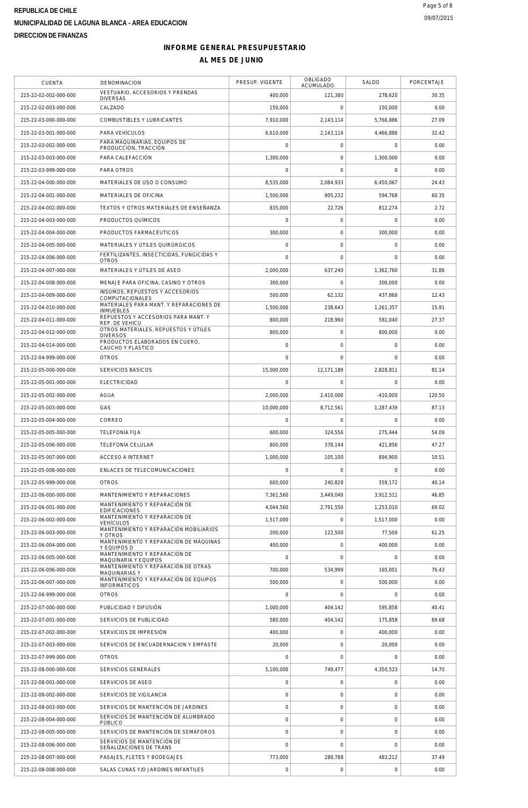#### **INFORME GENERAL PRESUPUESTARIO**

| <b>CUENTA</b>         | DENOMINACION                                                                                  | PRESUP. VIGENTE     | <b>OBLIGADO</b><br>ACUMULADO | SALDO               | PORCENTAJE |
|-----------------------|-----------------------------------------------------------------------------------------------|---------------------|------------------------------|---------------------|------------|
| 215-22-02-002-000-000 | VESTUARIO, ACCESORIOS Y PRENDAS<br><b>DIVERSAS</b>                                            | 400,000             | 121,380                      | 278,620             | 30.35      |
| 215-22-02-003-000-000 | CALZADO                                                                                       | 150,000             | 0                            | 150,000             | 0.00       |
| 215-22-03-000-000-000 | COMBUSTIBLES Y LUBRICANTES                                                                    | 7,910,000           | 2,143,114                    | 5,766,886           | 27.09      |
| 215-22-03-001-000-000 | PARA VEHÍCULOS                                                                                | 6,610,000           | 2,143,114                    | 4,466,886           | 32.42      |
| 215-22-03-002-000-000 | PARA MAQUINARIAS, EQUIPOS DE                                                                  | $\mathbf 0$         | $\mathbf 0$                  | $\mathbf 0$         | 0.00       |
| 215-22-03-003-000-000 | PRODUCCIÓN, TRACCIÓN<br>PARA CALEFACCIÓN                                                      | 1,300,000           | 0                            | 1,300,000           | 0.00       |
| 215-22-03-999-000-000 | PARA OTROS                                                                                    | $\mathbf 0$         | $\mathbf 0$                  | $\mathbf 0$         | 0.00       |
| 215-22-04-000-000-000 | MATERIALES DE USO O CONSUMO                                                                   | 8,535,000           | 2,084,933                    | 6,450,067           | 24.43      |
| 215-22-04-001-000-000 | MATERIALES DE OFICINA                                                                         | 1.500.000           | 905,232                      | 594,768             | 60.35      |
| 215-22-04-002-000-000 | TEXTOS Y OTROS MATERIALES DE ENSEÑANZA                                                        | 835,000             | 22,726                       | 812,274             | 2.72       |
|                       |                                                                                               |                     |                              |                     |            |
| 215-22-04-003-000-000 | PRODUCTOS QUÍMICOS                                                                            | $\mathbf 0$         | 0                            | $\mathbf 0$         | 0.00       |
| 215-22-04-004-000-000 | PRODUCTOS FARMACÉUTICOS                                                                       | 300,000             | 0                            | 300,000             | 0.00       |
| 215-22-04-005-000-000 | MATERIALES Y ÚTILES QUIRÚRGICOS<br>FERTILIZANTES, INSECTICIDAS, FUNGICIDAS Y                  | $\mathbf 0$         | $\mathsf O$                  | $\mathsf{O}\xspace$ | 0.00       |
| 215-22-04-006-000-000 | <b>OTROS</b>                                                                                  | $\mathbf 0$         | $\mathbf 0$                  | $\mathbf 0$         | 0.00       |
| 215-22-04-007-000-000 | MATERIALES Y ÚTILES DE ASEO                                                                   | 2,000,000           | 637,240                      | 1,362,760           | 31.86      |
| 215-22-04-008-000-000 | MENAJE PARA OFICINA, CASINO Y OTROS                                                           | 300,000             | $\mathbf 0$                  | 300,000             | 0.00       |
| 215-22-04-009-000-000 | INSUMOS. REPUESTOS Y ACCESORIOS<br>COMPUTACIONALES<br>MATERIALES PARA MANT. Y REPARACIONES DE | 500,000             | 62,132                       | 437,868             | 12.43      |
| 215-22-04-010-000-000 | <b>INMUEBLES</b>                                                                              | 1,500,000           | 238,643                      | 1,261,357           | 15.91      |
| 215-22-04-011-000-000 | REPUESTOS Y ACCESORIOS PARA MANT. Y<br>REP. DE VEHICU                                         | 800.000             | 218,960                      | 581,040             | 27.37      |
| 215-22-04-012-000-000 | OTROS MATERIALES, REPUESTOS Y ÚTILES<br><b>DIVERSOS</b>                                       | 800,000             | 0                            | 800,000             | 0.00       |
| 215-22-04-014-000-000 | PRODUCTOS ELABORADOS EN CUERO,<br>CAUCHO Y PLASTICO                                           | $\mathbf 0$         | 0                            | $\mathsf{O}\xspace$ | 0.00       |
| 215-22-04-999-000-000 | <b>OTROS</b>                                                                                  | $\mathbf 0$         | $\Omega$                     | $\mathbf 0$         | 0.00       |
| 215-22-05-000-000-000 | SERVICIOS BÁSICOS                                                                             | 15,000,000          | 12,171,189                   | 2,828,811           | 81.14      |
| 215-22-05-001-000-000 | <b>ELECTRICIDAD</b>                                                                           | $\mathbf 0$         | $\mathbf 0$                  | $\mathbf 0$         | 0.00       |
| 215-22-05-002-000-000 | AGUA                                                                                          | 2,000,000           | 2,410,000                    | $-410,000$          | 120.50     |
| 215-22-05-003-000-000 | GAS                                                                                           | 10,000,000          | 8,712,561                    | 1,287,439           | 87.13      |
| 215-22-05-004-000-000 | CORREO                                                                                        | $\mathbf 0$         | 0                            | $\mathbf 0$         | 0.00       |
| 215-22-05-005-000-000 | TELEFONÍA FLJA                                                                                | 600,000             | 324,556                      | 275,444             | 54.09      |
| 215-22-05-006-000-000 | TELEFONÍA CELULAR                                                                             | 800,000             | 378,144                      | 421,856             | 47.27      |
| 215-22-05-007-000-000 | <b>ACCESO A INTERNET</b>                                                                      | 1,000,000           | 105,100                      | 894,900             | 10.51      |
| 215-22-05-008-000-000 | ENLACES DE TELECOMUNICACIONES                                                                 | $\mathbf 0$         | 0                            | $\mathbf 0$         | 0.00       |
| 215-22-05-999-000-000 | <b>OTROS</b>                                                                                  | 600,000             | 240,828                      | 359,172             | 40.14      |
| 215-22-06-000-000-000 | MANTENIMIENTO Y REPARACIONES                                                                  | 7,361,560           | 3,449,049                    | 3,912,511           | 46.85      |
| 215-22-06-001-000-000 | MANTENIMIENTO Y REPARACIÓN DE                                                                 | 4,044,560           | 2,791,550                    | 1,253,010           | 69.02      |
| 215-22-06-002-000-000 | <b>EDIFICACIONES</b><br>MANTENIMIENTO Y REPARACIÓN DE                                         | 1,517,000           | $\mathbf 0$                  | 1,517,000           | 0.00       |
|                       | <b>VEHÍCULOS</b><br>MANTENIMIENTO Y REPARACIÓN MOBILIARIOS                                    | 200,000             |                              |                     | 61.25      |
| 215-22-06-003-000-000 | Y OTROS<br>MANTENIMIENTO Y REPARACIÓN DE MÁQUINAS                                             |                     | 122,500                      | 77,500              |            |
| 215-22-06-004-000-000 | Y EQUIPOS D<br>MANTENIMIENTO Y REPARACIÓN DE                                                  | 400,000             | $\mathbf 0$                  | 400,000             | 0.00       |
| 215-22-06-005-000-000 | MAQUINARIA Y EQUIPOS<br>MANTENIMIENTO Y REPARACIÓN DE OTRAS                                   | $\mathbf 0$         | $\mathbf 0$                  | $\mathbf 0$         | 0.00       |
| 215-22-06-006-000-000 | MAQUINARIAS Y<br>MANTENIMIENTO Y REPARACIÓN DE EQUIPOS                                        | 700,000             | 534,999                      | 165,001             | 76.43      |
| 215-22-06-007-000-000 | <b>INFORMÁTICOS</b>                                                                           | 500,000             | 0                            | 500,000             | 0.00       |
| 215-22-06-999-000-000 | <b>OTROS</b>                                                                                  | $\mathbf 0$         | $\mathbf 0$                  | $\mathbf 0$         | 0.00       |
| 215-22-07-000-000-000 | PUBLICIDAD Y DIFUSIÓN                                                                         | 1,000,000           | 404,142                      | 595,858             | 40.41      |
| 215-22-07-001-000-000 | SERVICIOS DE PUBLICIDAD                                                                       | 580,000             | 404,142                      | 175,858             | 69.68      |
| 215-22-07-002-000-000 | SERVICIOS DE IMPRESIÓN                                                                        | 400,000             | $\mathbf 0$                  | 400,000             | 0.00       |
| 215-22-07-003-000-000 | SERVICIOS DE ENCUADERNACION Y EMPASTE                                                         | 20,000              | $\mathbf 0$                  | 20,000              | 0.00       |
| 215-22-07-999-000-000 | <b>OTROS</b>                                                                                  | $\Omega$            | $\Omega$                     | $\Omega$            | 0.00       |
| 215-22-08-000-000-000 | SERVICIOS GENERALES                                                                           | 5,100,000           | 749,477                      | 4,350,523           | 14.70      |
| 215-22-08-001-000-000 | SERVICIOS DE ASEO                                                                             | $\mathsf{O}\xspace$ | 0                            | $\mathsf{O}\xspace$ | 0.00       |
| 215-22-08-002-000-000 | SERVICIOS DE VIGILANCIA                                                                       | $\mathsf{O}\xspace$ | $\mathbf 0$                  | $\mathbf 0$         | 0.00       |
| 215-22-08-003-000-000 | SERVICIOS DE MANTENCIÓN DE JARDINES                                                           | $\mathbf 0$         | $\mathbf 0$                  | $\mathbf 0$         | 0.00       |
| 215-22-08-004-000-000 | SERVICIOS DE MANTENCIÓN DE ALUMBRADO<br>PÚBLICO                                               | $\mathsf{O}\xspace$ | $\mathbf 0$                  | $\mathbf 0$         | 0.00       |
| 215-22-08-005-000-000 | SERVICIOS DE MANTENCIÓN DE SEMÁFOROS                                                          | $\overline{0}$      | $\mathbf 0$                  | $\mathsf{O}\xspace$ | 0.00       |
| 215-22-08-006-000-000 | SERVICIOS DE MANTENCIÓN DE<br>SEÑALIZACIONES DE TRÁNS                                         | $\mathbf 0$         | $\mathbf 0$                  | $\mathbf 0$         | 0.00       |
| 215-22-08-007-000-000 | PASAJES, FLETES Y BODEGAJES                                                                   | 773,000             | 289,788                      | 483,212             | 37.49      |
| 215-22-08-008-000-000 | SALAS CUNAS Y/O JARDINES INFANTILES                                                           | $\mathsf{O}\xspace$ | $\mathbf 0$                  | $\mathsf{O}\xspace$ | 0.00       |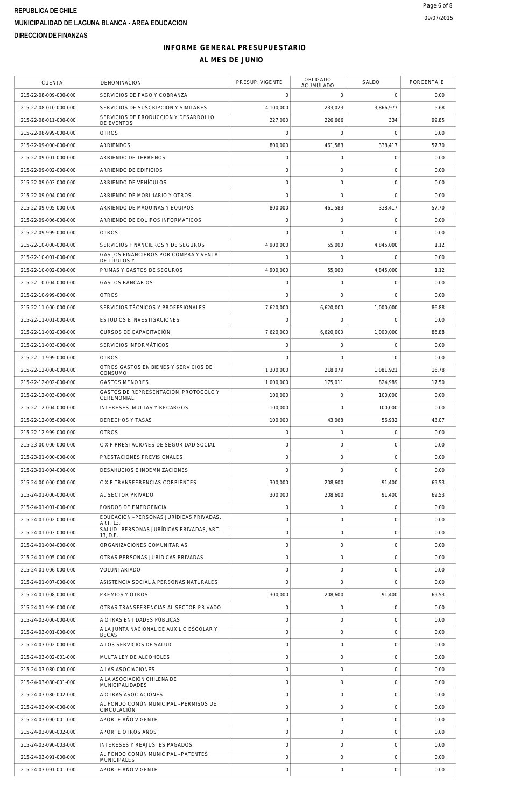#### **INFORME GENERAL PRESUPUESTARIO**

| <b>CUENTA</b>         | DENOMINACION                                              | PRESUP. VIGENTE | OBLIGADO<br>ACUMULADO | SALDO               | PORCENTAJE |
|-----------------------|-----------------------------------------------------------|-----------------|-----------------------|---------------------|------------|
| 215-22-08-009-000-000 | SERVICIOS DE PAGO Y COBRANZA                              | $\Omega$        | $\mathbf 0$           | $\mathbf 0$         | 0.00       |
| 215-22-08-010-000-000 | SERVICIOS DE SUSCRIPCION Y SIMILARES                      | 4,100,000       | 233,023               | 3,866,977           | 5.68       |
| 215-22-08-011-000-000 | SERVICIOS DE PRODUCCION Y DESARROLLO<br>DE EVENTOS        | 227,000         | 226,666               | 334                 | 99.85      |
| 215-22-08-999-000-000 | <b>OTROS</b>                                              | 0               | $\mathsf O$           | $\mathsf{O}\xspace$ | 0.00       |
| 215-22-09-000-000-000 | ARRIENDOS                                                 | 800,000         | 461,583               | 338,417             | 57.70      |
| 215-22-09-001-000-000 | ARRIENDO DE TERRENOS                                      | 0               | $\mathsf O$           | 0                   | 0.00       |
| 215-22-09-002-000-000 | ARRIENDO DE EDIFICIOS                                     | 0               | $\mathbf 0$           | $\mathsf{O}\xspace$ | 0.00       |
| 215-22-09-003-000-000 | ARRIENDO DE VEHÍCULOS                                     | 0               | $\mathbf 0$           | $\mathsf{O}\xspace$ | 0.00       |
| 215-22-09-004-000-000 | ARRIENDO DE MOBILIARIO Y OTROS                            | 0               | $\mathbf 0$           | $\mathsf{O}\xspace$ | 0.00       |
| 215-22-09-005-000-000 | ARRIENDO DE MÁQUINAS Y EQUIPOS                            | 800,000         | 461,583               | 338,417             | 57.70      |
| 215-22-09-006-000-000 | ARRIENDO DE EQUIPOS INFORMÁTICOS                          | 0               | $\mathsf O$           | $\mathsf{O}\xspace$ | 0.00       |
| 215-22-09-999-000-000 | <b>OTROS</b>                                              | 0               | $\mathbf 0$           | $\mathbf 0$         | 0.00       |
| 215-22-10-000-000-000 | SERVICIOS FINANCIEROS Y DE SEGUROS                        | 4,900,000       | 55,000                | 4,845,000           | 1.12       |
| 215-22-10-001-000-000 | GASTOS FINANCIEROS POR COMPRA Y VENTA<br>DE TÍTULOS Y     | 0               | $\mathbf 0$           | 0                   | 0.00       |
| 215-22-10-002-000-000 | PRIMAS Y GASTOS DE SEGUROS                                | 4,900,000       | 55,000                | 4,845,000           | 1.12       |
| 215-22-10-004-000-000 | <b>GASTOS BANCARIOS</b>                                   | 0               | $\mathsf O$           | $\mathsf{O}\xspace$ | 0.00       |
| 215-22-10-999-000-000 | <b>OTROS</b>                                              | 0               | $\mathbf 0$           | $\mathbf 0$         | 0.00       |
| 215-22-11-000-000-000 | SERVICIOS TÉCNICOS Y PROFESIONALES                        | 7,620,000       | 6,620,000             | 1,000,000           | 86.88      |
| 215-22-11-001-000-000 | <b>ESTUDIOS E INVESTIGACIONES</b>                         | 0               | $\mathbf 0$           | $\mathsf{O}\xspace$ | 0.00       |
| 215-22-11-002-000-000 | CURSOS DE CAPACITACIÓN                                    | 7,620,000       | 6,620,000             | 1,000,000           | 86.88      |
| 215-22-11-003-000-000 | SERVICIOS INFORMÁTICOS                                    | 0               | $\mathbf 0$           | 0                   | 0.00       |
| 215-22-11-999-000-000 | <b>OTROS</b>                                              | 0               | $\mathbf 0$           | $\mathbf 0$         | 0.00       |
| 215-22-12-000-000-000 | OTROS GASTOS EN BIENES Y SERVICIOS DE                     | 1,300,000       | 218,079               | 1,081,921           | 16.78      |
| 215-22-12-002-000-000 | CONSUMO<br><b>GASTOS MENORES</b>                          | 1,000,000       | 175,011               | 824,989             | 17.50      |
| 215-22-12-003-000-000 | GASTOS DE REPRESENTACIÓN, PROTOCOLO Y                     | 100,000         | $\mathsf{O}\xspace$   | 100,000             | 0.00       |
| 215-22-12-004-000-000 | CEREMONIAL<br>INTERESES, MULTAS Y RECARGOS                | 100,000         | $\mathbf 0$           | 100,000             | 0.00       |
| 215-22-12-005-000-000 | <b>DERECHOS Y TASAS</b>                                   | 100,000         | 43,068                | 56,932              | 43.07      |
| 215-22-12-999-000-000 | <b>OTROS</b>                                              | 0               | $\mathsf{O}\xspace$   | $\mathsf{O}\xspace$ | 0.00       |
| 215-23-00-000-000-000 | C X P PRESTACIONES DE SEGURIDAD SOCIAL                    | 0               | $\mathbf 0$           | $\mathsf{O}\xspace$ | 0.00       |
| 215-23-01-000-000-000 | PRESTACIONES PREVISIONALES                                | 0               | $\mathsf{O}\xspace$   | $\mathsf{O}\xspace$ | 0.00       |
| 215-23-01-004-000-000 | DESAHUCIOS E INDEMNIZACIONES                              | 0               | $\mathbf 0$           | $\mathbf 0$         | 0.00       |
| 215-24-00-000-000-000 | C X P TRANSFERENCIAS CORRIENTES                           | 300,000         | 208,600               | 91,400              | 69.53      |
| 215-24-01-000-000-000 | AL SECTOR PRIVADO                                         | 300,000         | 208,600               | 91,400              | 69.53      |
| 215-24-01-001-000-000 | FONDOS DE EMERGENCIA                                      | $\Omega$        | $\mathbf 0$           | $\mathbf 0$         | 0.00       |
| 215-24-01-002-000-000 | EDUCACIÓN - PERSONAS JURÍDICAS PRIVADAS.                  | 0               | $\mathsf{O}\xspace$   | $\mathbf 0$         | 0.00       |
| 215-24-01-003-000-000 | ART. 13,<br>SALUD - PERSONAS JURÍDICAS PRIVADAS, ART.     | 0               | $\mathbf 0$           | $\mathsf{O}\xspace$ | 0.00       |
| 215-24-01-004-000-000 | 13, D.F.<br>ORGANIZACIONES COMUNITARIAS                   | 0               | $\mathbf 0$           | $\mathbf 0$         | 0.00       |
| 215-24-01-005-000-000 | OTRAS PERSONAS JURÍDICAS PRIVADAS                         | 0               | $\mathsf{O}\xspace$   | $\mathsf{O}\xspace$ | 0.00       |
| 215-24-01-006-000-000 | VOLUNTARIADO                                              | 0               | $\mathbf 0$           | $\mathbf 0$         | 0.00       |
| 215-24-01-007-000-000 | ASISTENCIA SOCIAL A PERSONAS NATURALES                    | 0               | $\mathbf 0$           | $\mathbf 0$         | 0.00       |
| 215-24-01-008-000-000 | PREMIOS Y OTROS                                           | 300,000         | 208,600               | 91,400              | 69.53      |
| 215-24-01-999-000-000 | OTRAS TRANSFERENCIAS AL SECTOR PRIVADO                    | 0               | $\mathbf 0$           | $\mathbf 0$         | 0.00       |
| 215-24-03-000-000-000 | A OTRAS ENTIDADES PÚBLICAS                                | 0               | $\mathbf 0$           | 0                   | 0.00       |
| 215-24-03-001-000-000 | A LA JUNTA NACIONAL DE AUXILIO ESCOLAR Y                  | 0               | $\mathbf 0$           | $\mathbf 0$         | 0.00       |
| 215-24-03-002-000-000 | <b>BECAS</b><br>A LOS SERVICIOS DE SALUD                  | 0               | $\mathbf 0$           | $\mathbf 0$         | 0.00       |
| 215-24-03-002-001-000 | MULTA LEY DE ALCOHOLES                                    | 0               | $\mathbf 0$           | $\mathbf 0$         | 0.00       |
| 215-24-03-080-000-000 | A LAS ASOCIACIONES                                        | 0               | $\mathsf{O}\xspace$   | $\mathbf 0$         | 0.00       |
| 215-24-03-080-001-000 | A LA ASOCIACIÓN CHILENA DE                                | 0               | $\mathbf 0$           | $\mathsf{O}\xspace$ | 0.00       |
| 215-24-03-080-002-000 | MUNICIPALIDADES<br>A OTRAS ASOCIACIONES                   | 0               | $\mathbf 0$           | $\mathbf 0$         | 0.00       |
| 215-24-03-090-000-000 | AL FONDO COMÚN MUNICIPAL - PERMISOS DE<br>CIRCULACIÓN     | 0               | $\mathbf 0$           | $\mathbf 0$         | 0.00       |
| 215-24-03-090-001-000 | APORTE AÑO VIGENTE                                        | 0               | $\mathbf 0$           | $\mathbf 0$         | 0.00       |
| 215-24-03-090-002-000 | APORTE OTROS AÑOS                                         | 0               | $\mathbf 0$           | $\mathbf 0$         | 0.00       |
| 215-24-03-090-003-000 | <b>INTERESES Y REAJUSTES PAGADOS</b>                      | 0               | $\mathbf 0$           | $\mathbf 0$         | 0.00       |
| 215-24-03-091-000-000 | AL FONDO COMÚN MUNICIPAL - PATENTES<br><b>MUNICIPALES</b> | 0               | $\mathbf 0$           | $\mathbf 0$         | 0.00       |
| 215-24-03-091-001-000 | APORTE ANO VIGENTE                                        | 0               | $\mathbf 0$           | $\mathsf{O}\xspace$ | 0.00       |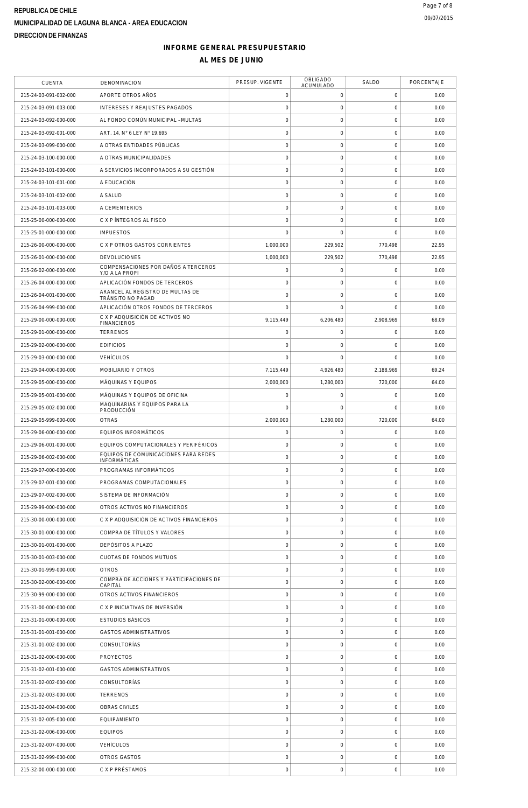$\overline{\phantom{a}}$ 

#### **INFORME GENERAL PRESUPUESTARIO AL MES DE JUNIO**

 $\overline{\phantom{a}}$ 

| <b>CUENTA</b>         | DENOMINACION                                          | PRESUP. VIGENTE     | OBLIGADO<br>ACUMULADO | SALDO               | PORCENTAJE |
|-----------------------|-------------------------------------------------------|---------------------|-----------------------|---------------------|------------|
| 215-24-03-091-002-000 | APORTE OTROS AÑOS                                     | 0                   | 0                     | 0                   | 0.00       |
| 215-24-03-091-003-000 | <b>INTERESES Y REAJUSTES PAGADOS</b>                  | 0                   | $\mathsf{O}\xspace$   | $\mathbf 0$         | 0.00       |
| 215-24-03-092-000-000 | AL FONDO COMÚN MUNICIPAL - MULTAS                     | 0                   | $\mathsf{O}\xspace$   | $\mathsf{O}\xspace$ | 0.00       |
| 215-24-03-092-001-000 | ART. 14, N° 6 LEY N° 19.695                           | $\mathbf 0$         | $\mathsf{O}\xspace$   | $\mathbf 0$         | 0.00       |
| 215-24-03-099-000-000 | A OTRAS ENTIDADES PÚBLICAS                            | $\circ$             | $\mathsf{O}\xspace$   | $\mathbf 0$         | 0.00       |
| 215-24-03-100-000-000 | A OTRAS MUNICIPALIDADES                               | 0                   | 0                     | 0                   | 0.00       |
| 215-24-03-101-000-000 | A SERVICIOS INCORPORADOS A SU GESTIÓN                 | $\mathsf{O}\xspace$ | $\mathsf{O}\xspace$   | 0                   | 0.00       |
| 215-24-03-101-001-000 | A EDUCACIÓN                                           | 0                   | $\mathsf{O}\xspace$   | $\mathsf{O}\xspace$ | 0.00       |
| 215-24-03-101-002-000 | A SALUD                                               | $\mathsf{O}\xspace$ | 0                     | 0                   | 0.00       |
| 215-24-03-101-003-000 | A CEMENTERIOS                                         | $\mathbf 0$         | $\mathsf{O}\xspace$   | $\mathbf 0$         | 0.00       |
| 215-25-00-000-000-000 | C X P ÍNTEGROS AL FISCO                               | 0                   | $\mathbf 0$           | 0                   | 0.00       |
| 215-25-01-000-000-000 | <b>IMPUESTOS</b>                                      | 0                   | $\mathbf 0$           | 0                   | 0.00       |
| 215-26-00-000-000-000 | C X P OTROS GASTOS CORRIENTES                         | 1,000,000           | 229,502               | 770,498             | 22.95      |
| 215-26-01-000-000-000 | <b>DEVOLUCIONES</b>                                   | 1,000,000           | 229,502               | 770,498             | 22.95      |
| 215-26-02-000-000-000 | COMPENSACIONES POR DAÑOS A TERCEROS<br>Y/O A LA PROPI | 0                   | 0                     | 0                   | 0.00       |
| 215-26-04-000-000-000 | APLICACIÓN FONDOS DE TERCEROS                         | 0                   | 0                     | 0                   | 0.00       |
| 215-26-04-001-000-000 | ARANCEL AL REGISTRO DE MULTAS DE<br>TRÁNSITO NO PAGAD | 0                   | 0                     | 0                   | 0.00       |
| 215-26-04-999-000-000 | APLICACIÓN OTROS FONDOS DE TERCEROS                   | $\mathbf 0$         | $\mathbf 0$           | $\mathbf 0$         | 0.00       |
| 215-29-00-000-000-000 | C X P ADQUISICIÓN DE ACTIVOS NO<br><b>FINANCIEROS</b> | 9,115,449           | 6,206,480             | 2,908,969           | 68.09      |
| 215-29-01-000-000-000 | <b>TERRENOS</b>                                       | 0                   | 0                     | 0                   | 0.00       |
| 215-29-02-000-000-000 | <b>EDIFICIOS</b>                                      | 0                   | 0                     | 0                   | 0.00       |
| 215-29-03-000-000-000 | <b>VEHÍCULOS</b>                                      | $\mathbf 0$         | $\mathbf 0$           | 0                   | 0.00       |
| 215-29-04-000-000-000 | MOBILIARIO Y OTROS                                    | 7,115,449           | 4,926,480             | 2,188,969           | 69.24      |
| 215-29-05-000-000-000 | MÁQUINAS Y EQUIPOS                                    | 2,000,000           | 1,280,000             | 720,000             | 64.00      |
| 215-29-05-001-000-000 | MÁQUINAS Y EQUIPOS DE OFICINA                         | 0                   | 0                     | 0                   | 0.00       |
| 215-29-05-002-000-000 | MAQUINARIAS Y EQUIPOS PARA LA<br>PRODUCCIÓN           | 0                   | $\mathbf 0$           | 0                   | 0.00       |
| 215-29-05-999-000-000 | <b>OTRAS</b>                                          | 2,000,000           | 1,280,000             | 720,000             | 64.00      |
| 215-29-06-000-000-000 | EQUIPOS INFORMÁTICOS                                  | 0                   | 0                     | 0                   | 0.00       |
| 215-29-06-001-000-000 | EQUIPOS COMPUTACIONALES Y PERIFÉRICOS                 | 0                   | $\mathbf 0$           | 0                   | 0.00       |
| 215-29-06-002-000-000 | EQUIPOS DE COMUNICACIONES PARA REDES                  | 0                   | $\mathsf{O}\xspace$   | $\mathbf 0$         | 0.00       |
| 215-29-07-000-000-000 | <b>INFORMÁTICAS</b><br>PROGRAMAS INFORMÁTICOS         | 0                   | 0                     | $\mathsf{O}\xspace$ | 0.00       |
| 215-29-07-001-000-000 | PROGRAMAS COMPUTACIONALES                             | $\circ$             | $\mathbf 0$           | $\mathbf 0$         | 0.00       |
| 215-29-07-002-000-000 | SISTEMA DE INFORMACIÓN                                | 0                   | $\mathsf{O}\xspace$   | $\mathbf 0$         | 0.00       |
| 215-29-99-000-000-000 | OTROS ACTIVOS NO FINANCIEROS                          | $\mathbf 0$         | $\mathbf 0$           | $\mathbf 0$         | 0.00       |
| 215-30-00-000-000-000 | C X P ADQUISICIÓN DE ACTIVOS FINANCIEROS              | $\mathbf 0$         | $\mathsf{O}\xspace$   | $\mathbf 0$         | 0.00       |
| 215-30-01-000-000-000 | COMPRA DE TÍTULOS Y VALORES                           | 0                   | $\mathsf{O}\xspace$   | $\mathbf 0$         | 0.00       |
| 215-30-01-001-000-000 | DEPÓSITOS A PLAZO                                     | $\circ$             | $\mathbf 0$           | $\mathbf 0$         | 0.00       |
| 215-30-01-003-000-000 | CUOTAS DE FONDOS MUTUOS                               | $\mathbf 0$         | 0                     | $\mathbf 0$         | 0.00       |
| 215-30-01-999-000-000 | <b>OTROS</b>                                          | 0                   | $\mathsf{O}\xspace$   | $\mathbf 0$         | 0.00       |
| 215-30-02-000-000-000 | COMPRA DE ACCIONES Y PARTICIPACIONES DE               | $\circ$             | $\mathbf 0$           | $\mathbf 0$         | 0.00       |
| 215-30-99-000-000-000 | CAPITAL<br>OTROS ACTIVOS FINANCIEROS                  | $\mathsf{O}\xspace$ | $\mathsf{O}\xspace$   | $\mathsf 0$         | 0.00       |
| 215-31-00-000-000-000 | C X P INICIATIVAS DE INVERSIÓN                        | 0                   | $\mathsf{O}\xspace$   | $\mathbf 0$         | 0.00       |
| 215-31-01-000-000-000 | <b>ESTUDIOS BÁSICOS</b>                               | 0                   | $\mathbf 0$           | $\mathbf 0$         | 0.00       |
| 215-31-01-001-000-000 | <b>GASTOS ADMINISTRATIVOS</b>                         | $\mathbf 0$         | $\mathsf{O}\xspace$   | $\mathbf 0$         | 0.00       |
| 215-31-01-002-000-000 | CONSULTORÍAS                                          | 0                   | 0                     | $\mathbf 0$         | 0.00       |
| 215-31-02-000-000-000 | <b>PROYECTOS</b>                                      | $\mathsf{O}\xspace$ | $\mathsf{O}\xspace$   | $\mathbf 0$         | 0.00       |
| 215-31-02-001-000-000 | <b>GASTOS ADMINISTRATIVOS</b>                         | $\mathsf{O}\xspace$ | $\mathsf{O}\xspace$   | $\mathbf 0$         | 0.00       |
| 215-31-02-002-000-000 | CONSULTORÍAS                                          | 0                   | 0                     | $\mathbf 0$         | 0.00       |
| 215-31-02-003-000-000 | <b>TERRENOS</b>                                       | $\mathbf 0$         | $\mathsf{O}\xspace$   | $\mathbf 0$         | 0.00       |
| 215-31-02-004-000-000 | OBRAS CIVILES                                         | 0                   | $\mathsf{O}\xspace$   | $\mathbf 0$         | 0.00       |
| 215-31-02-005-000-000 | <b>EQUIPAMIENTO</b>                                   | $\circ$             | $\mathbf 0$           | $\mathbf 0$         | 0.00       |
| 215-31-02-006-000-000 | <b>EQUIPOS</b>                                        | $\mathbf 0$         | $\mathsf{O}\xspace$   | $\mathbf 0$         | 0.00       |
| 215-31-02-007-000-000 | <b>VEHÍCULOS</b>                                      | 0                   | $\mathsf{O}\xspace$   | $\mathsf 0$         | 0.00       |
| 215-31-02-999-000-000 | OTROS GASTOS                                          | 0                   | $\mathsf{O}\xspace$   | $\mathbf 0$         | 0.00       |
| 215-32-00-000-000-000 | C X P PRÉSTAMOS                                       | 0                   | $\mathsf{O}\xspace$   | $\mathbf 0$         | 0.00       |
|                       |                                                       |                     |                       |                     |            |